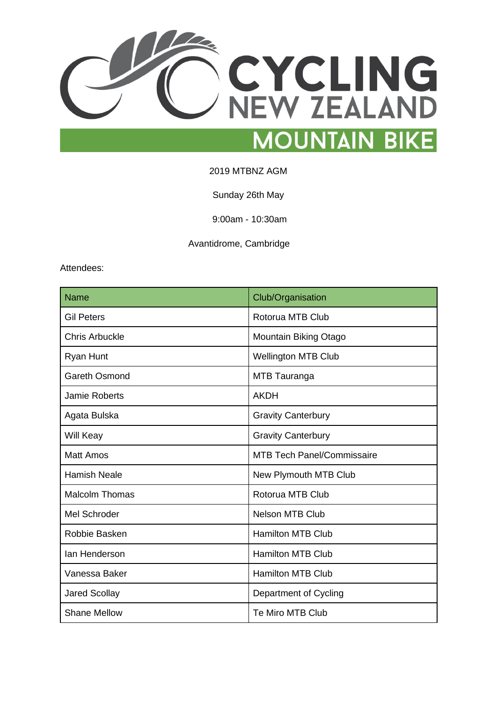

## 2019 MTBNZ AGM

# Sunday 26th May

9:00am - 10:30am

Avantidrome, Cambridge

#### Attendees:

| <b>Name</b>           | Club/Organisation                 |
|-----------------------|-----------------------------------|
| <b>Gil Peters</b>     | Rotorua MTB Club                  |
| Chris Arbuckle        | <b>Mountain Biking Otago</b>      |
| Ryan Hunt             | <b>Wellington MTB Club</b>        |
| <b>Gareth Osmond</b>  | <b>MTB</b> Tauranga               |
| <b>Jamie Roberts</b>  | <b>AKDH</b>                       |
| Agata Bulska          | <b>Gravity Canterbury</b>         |
| Will Keay             | <b>Gravity Canterbury</b>         |
| <b>Matt Amos</b>      | <b>MTB Tech Panel/Commissaire</b> |
| <b>Hamish Neale</b>   | New Plymouth MTB Club             |
| <b>Malcolm Thomas</b> | Rotorua MTB Club                  |
| Mel Schroder          | <b>Nelson MTB Club</b>            |
| Robbie Basken         | <b>Hamilton MTB Club</b>          |
| lan Henderson         | <b>Hamilton MTB Club</b>          |
| Vanessa Baker         | <b>Hamilton MTB Club</b>          |
| <b>Jared Scollay</b>  | Department of Cycling             |
| <b>Shane Mellow</b>   | Te Miro MTB Club                  |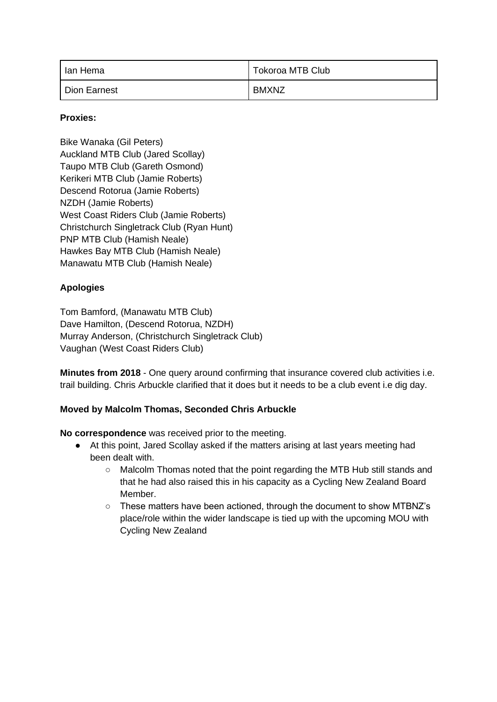| lan Hema     | Tokoroa MTB Club |
|--------------|------------------|
| Dion Earnest | <b>BMXNZ</b>     |

# **Proxies:**

Bike Wanaka (Gil Peters) Auckland MTB Club (Jared Scollay) Taupo MTB Club (Gareth Osmond) Kerikeri MTB Club (Jamie Roberts) Descend Rotorua (Jamie Roberts) NZDH (Jamie Roberts) West Coast Riders Club (Jamie Roberts) Christchurch Singletrack Club (Ryan Hunt) PNP MTB Club (Hamish Neale) Hawkes Bay MTB Club (Hamish Neale) Manawatu MTB Club (Hamish Neale)

# **Apologies**

Tom Bamford, (Manawatu MTB Club) Dave Hamilton, (Descend Rotorua, NZDH) Murray Anderson, (Christchurch Singletrack Club) Vaughan (West Coast Riders Club)

**Minutes from 2018** - One query around confirming that insurance covered club activities i.e. trail building. Chris Arbuckle clarified that it does but it needs to be a club event i.e dig day.

# **Moved by Malcolm Thomas, Seconded Chris Arbuckle**

**No correspondence** was received prior to the meeting.

- At this point, Jared Scollay asked if the matters arising at last years meeting had been dealt with.
	- Malcolm Thomas noted that the point regarding the MTB Hub still stands and that he had also raised this in his capacity as a Cycling New Zealand Board Member.
	- These matters have been actioned, through the document to show MTBNZ's place/role within the wider landscape is tied up with the upcoming MOU with Cycling New Zealand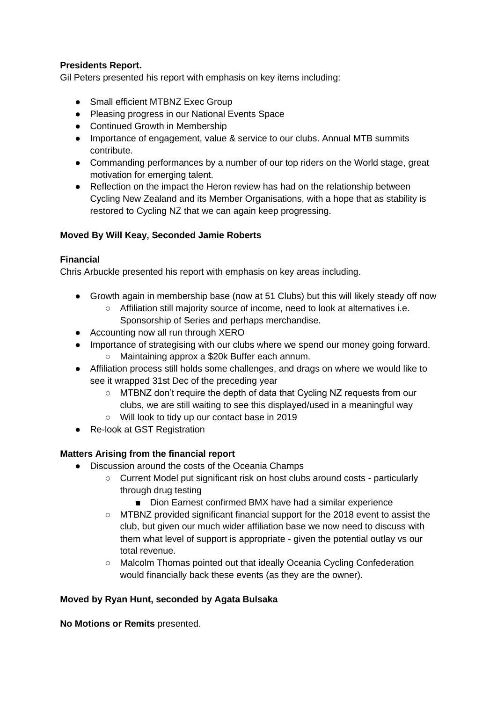# **Presidents Report.**

Gil Peters presented his report with emphasis on key items including:

- Small efficient MTBNZ Exec Group
- Pleasing progress in our National Events Space
- Continued Growth in Membership
- Importance of engagement, value & service to our clubs. Annual MTB summits contribute.
- Commanding performances by a number of our top riders on the World stage, great motivation for emerging talent.
- Reflection on the impact the Heron review has had on the relationship between Cycling New Zealand and its Member Organisations, with a hope that as stability is restored to Cycling NZ that we can again keep progressing.

# **Moved By Will Keay, Seconded Jamie Roberts**

## **Financial**

Chris Arbuckle presented his report with emphasis on key areas including.

- Growth again in membership base (now at 51 Clubs) but this will likely steady off now
	- Affiliation still majority source of income, need to look at alternatives i.e. Sponsorship of Series and perhaps merchandise.
- Accounting now all run through XERO
- Importance of strategising with our clubs where we spend our money going forward.
	- Maintaining approx a \$20k Buffer each annum.
- Affiliation process still holds some challenges, and drags on where we would like to see it wrapped 31st Dec of the preceding year
	- MTBNZ don't require the depth of data that Cycling NZ requests from our clubs, we are still waiting to see this displayed/used in a meaningful way
	- Will look to tidy up our contact base in 2019
- Re-look at GST Registration

# **Matters Arising from the financial report**

- Discussion around the costs of the Oceania Champs
	- Current Model put significant risk on host clubs around costs particularly through drug testing
		- Dion Earnest confirmed BMX have had a similar experience
	- MTBNZ provided significant financial support for the 2018 event to assist the club, but given our much wider affiliation base we now need to discuss with them what level of support is appropriate - given the potential outlay vs our total revenue.
	- Malcolm Thomas pointed out that ideally Oceania Cycling Confederation would financially back these events (as they are the owner).

### **Moved by Ryan Hunt, seconded by Agata Bulsaka**

### **No Motions or Remits** presented.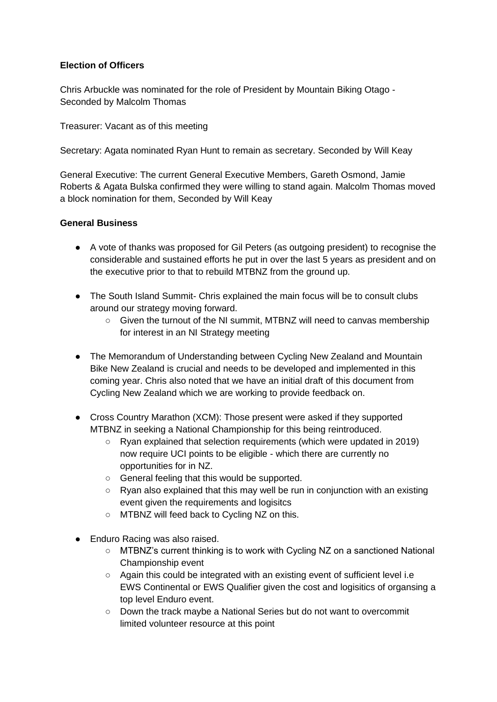## **Election of Officers**

Chris Arbuckle was nominated for the role of President by Mountain Biking Otago - Seconded by Malcolm Thomas

Treasurer: Vacant as of this meeting

Secretary: Agata nominated Ryan Hunt to remain as secretary. Seconded by Will Keay

General Executive: The current General Executive Members, Gareth Osmond, Jamie Roberts & Agata Bulska confirmed they were willing to stand again. Malcolm Thomas moved a block nomination for them, Seconded by Will Keay

### **General Business**

- A vote of thanks was proposed for Gil Peters (as outgoing president) to recognise the considerable and sustained efforts he put in over the last 5 years as president and on the executive prior to that to rebuild MTBNZ from the ground up.
- The South Island Summit- Chris explained the main focus will be to consult clubs around our strategy moving forward.
	- Given the turnout of the NI summit, MTBNZ will need to canvas membership for interest in an NI Strategy meeting
- The Memorandum of Understanding between Cycling New Zealand and Mountain Bike New Zealand is crucial and needs to be developed and implemented in this coming year. Chris also noted that we have an initial draft of this document from Cycling New Zealand which we are working to provide feedback on.
- Cross Country Marathon (XCM): Those present were asked if they supported MTBNZ in seeking a National Championship for this being reintroduced.
	- Ryan explained that selection requirements (which were updated in 2019) now require UCI points to be eligible - which there are currently no opportunities for in NZ.
	- General feeling that this would be supported.
	- $\circ$  Ryan also explained that this may well be run in conjunction with an existing event given the requirements and logisitcs
	- MTBNZ will feed back to Cycling NZ on this.
- Enduro Racing was also raised.
	- MTBNZ's current thinking is to work with Cycling NZ on a sanctioned National Championship event
	- Again this could be integrated with an existing event of sufficient level i.e EWS Continental or EWS Qualifier given the cost and logisitics of organsing a top level Enduro event.
	- Down the track maybe a National Series but do not want to overcommit limited volunteer resource at this point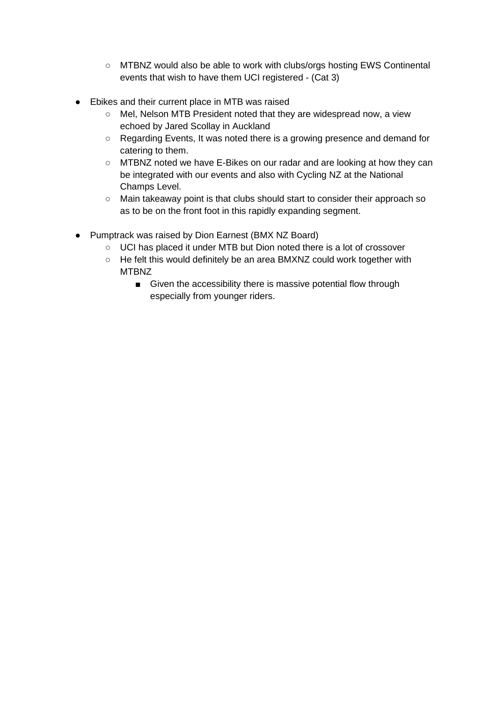- MTBNZ would also be able to work with clubs/orgs hosting EWS Continental events that wish to have them UCI registered - (Cat 3)
- Ebikes and their current place in MTB was raised
	- Mel, Nelson MTB President noted that they are widespread now, a view echoed by Jared Scollay in Auckland
	- Regarding Events, It was noted there is a growing presence and demand for catering to them.
	- MTBNZ noted we have E-Bikes on our radar and are looking at how they can be integrated with our events and also with Cycling NZ at the National Champs Level.
	- Main takeaway point is that clubs should start to consider their approach so as to be on the front foot in this rapidly expanding segment.
- Pumptrack was raised by Dion Earnest (BMX NZ Board)
	- UCI has placed it under MTB but Dion noted there is a lot of crossover
	- He felt this would definitely be an area BMXNZ could work together with MTBNZ
		- Given the accessibility there is massive potential flow through especially from younger riders.